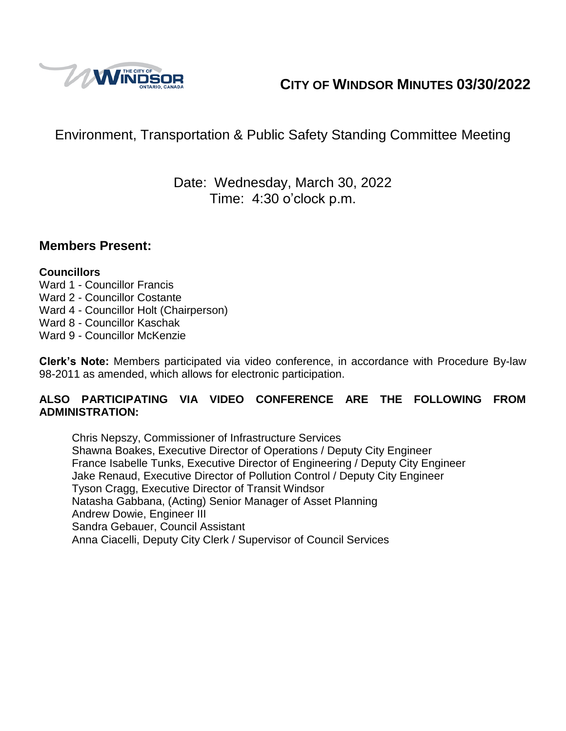

# **CITY OF WINDSOR MINUTES 03/30/2022**

# Environment, Transportation & Public Safety Standing Committee Meeting

## Date: Wednesday, March 30, 2022 Time: 4:30 o'clock p.m.

#### **Members Present:**

#### **Councillors**

- Ward 1 Councillor Francis
- Ward 2 Councillor Costante
- Ward 4 Councillor Holt (Chairperson)
- Ward 8 Councillor Kaschak
- Ward 9 Councillor McKenzie

**Clerk's Note:** Members participated via video conference, in accordance with Procedure By-law 98-2011 as amended, which allows for electronic participation.

#### **ALSO PARTICIPATING VIA VIDEO CONFERENCE ARE THE FOLLOWING FROM ADMINISTRATION:**

Chris Nepszy, Commissioner of Infrastructure Services Shawna Boakes, Executive Director of Operations / Deputy City Engineer France Isabelle Tunks, Executive Director of Engineering / Deputy City Engineer Jake Renaud, Executive Director of Pollution Control / Deputy City Engineer Tyson Cragg, Executive Director of Transit Windsor Natasha Gabbana, (Acting) Senior Manager of Asset Planning Andrew Dowie, Engineer III Sandra Gebauer, Council Assistant Anna Ciacelli, Deputy City Clerk / Supervisor of Council Services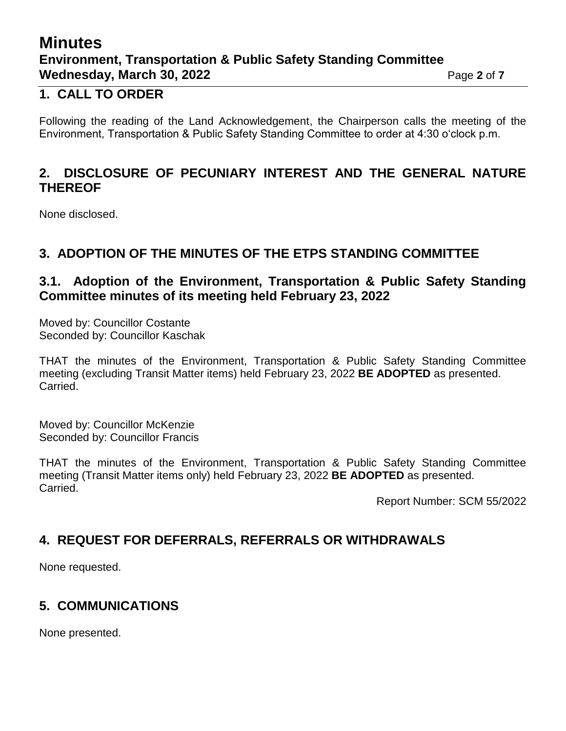# **Minutes Environment, Transportation & Public Safety Standing Committee Wednesday, March 30, 2022** Page 2 of 7

#### **1. CALL TO ORDER**

Following the reading of the Land Acknowledgement, the Chairperson calls the meeting of the Environment, Transportation & Public Safety Standing Committee to order at 4:30 o'clock p.m.

### **2. DISCLOSURE OF PECUNIARY INTEREST AND THE GENERAL NATURE THEREOF**

None disclosed.

### **3. ADOPTION OF THE MINUTES OF THE ETPS STANDING COMMITTEE**

### **3.1. Adoption of the Environment, Transportation & Public Safety Standing Committee minutes of its meeting held February 23, 2022**

Moved by: Councillor Costante Seconded by: Councillor Kaschak

THAT the minutes of the Environment, Transportation & Public Safety Standing Committee meeting (excluding Transit Matter items) held February 23, 2022 **BE ADOPTED** as presented. Carried.

Moved by: Councillor McKenzie Seconded by: Councillor Francis

THAT the minutes of the Environment, Transportation & Public Safety Standing Committee meeting (Transit Matter items only) held February 23, 2022 **BE ADOPTED** as presented. Carried.

Report Number: SCM 55/2022

### **4. REQUEST FOR DEFERRALS, REFERRALS OR WITHDRAWALS**

None requested.

### **5. COMMUNICATIONS**

None presented.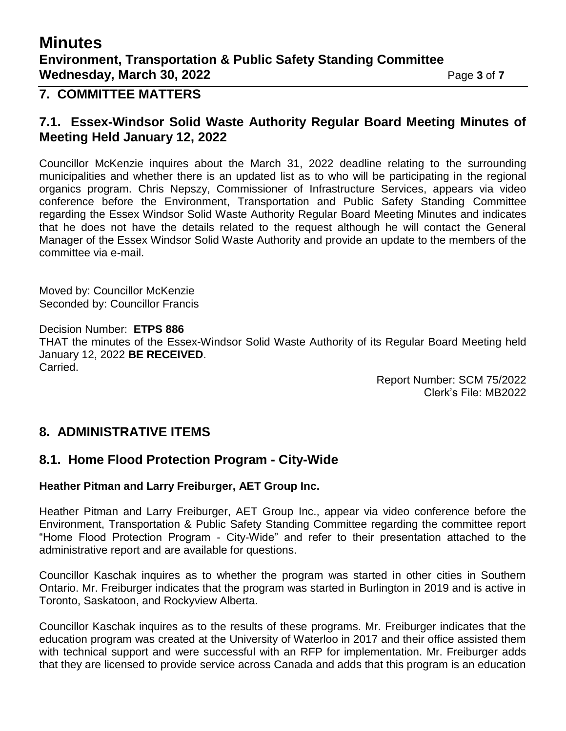## **Minutes Environment, Transportation & Public Safety Standing Committee Wednesday, March 30, 2022** Page 3 of 7

#### **7. COMMITTEE MATTERS**

#### **7.1. Essex-Windsor Solid Waste Authority Regular Board Meeting Minutes of Meeting Held January 12, 2022**

Councillor McKenzie inquires about the March 31, 2022 deadline relating to the surrounding municipalities and whether there is an updated list as to who will be participating in the regional organics program. Chris Nepszy, Commissioner of Infrastructure Services, appears via video conference before the Environment, Transportation and Public Safety Standing Committee regarding the Essex Windsor Solid Waste Authority Regular Board Meeting Minutes and indicates that he does not have the details related to the request although he will contact the General Manager of the Essex Windsor Solid Waste Authority and provide an update to the members of the committee via e-mail.

Moved by: Councillor McKenzie Seconded by: Councillor Francis

Decision Number: **ETPS 886** THAT the minutes of the Essex-Windsor Solid Waste Authority of its Regular Board Meeting held January 12, 2022 **BE RECEIVED**. Carried.

Report Number: SCM 75/2022 Clerk's File: MB2022

### **8. ADMINISTRATIVE ITEMS**

#### **8.1. Home Flood Protection Program - City-Wide**

#### **Heather Pitman and Larry Freiburger, AET Group Inc.**

Heather Pitman and Larry Freiburger, AET Group Inc., appear via video conference before the Environment, Transportation & Public Safety Standing Committee regarding the committee report "Home Flood Protection Program - City-Wide" and refer to their presentation attached to the administrative report and are available for questions.

Councillor Kaschak inquires as to whether the program was started in other cities in Southern Ontario. Mr. Freiburger indicates that the program was started in Burlington in 2019 and is active in Toronto, Saskatoon, and Rockyview Alberta.

Councillor Kaschak inquires as to the results of these programs. Mr. Freiburger indicates that the education program was created at the University of Waterloo in 2017 and their office assisted them with technical support and were successful with an RFP for implementation. Mr. Freiburger adds that they are licensed to provide service across Canada and adds that this program is an education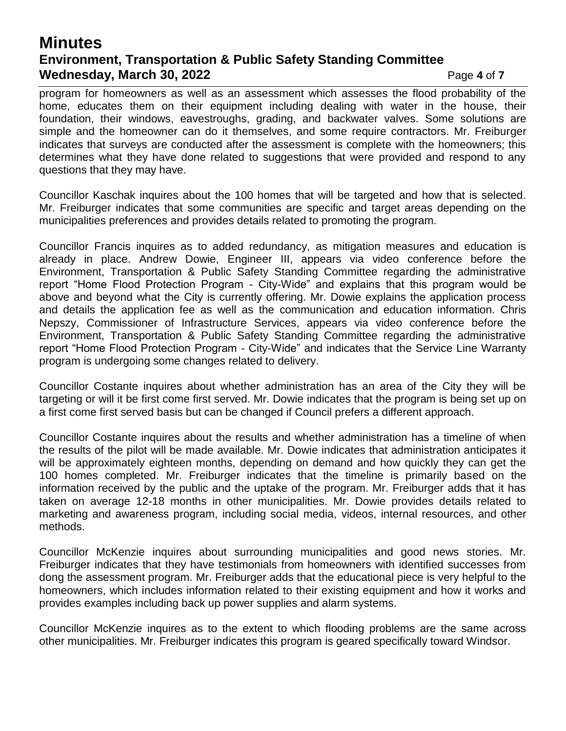## **Minutes Environment, Transportation & Public Safety Standing Committee Wednesday, March 30, 2022** Page 4 of 7

program for homeowners as well as an assessment which assesses the flood probability of the home, educates them on their equipment including dealing with water in the house, their foundation, their windows, eavestroughs, grading, and backwater valves. Some solutions are simple and the homeowner can do it themselves, and some require contractors. Mr. Freiburger indicates that surveys are conducted after the assessment is complete with the homeowners; this determines what they have done related to suggestions that were provided and respond to any questions that they may have.

Councillor Kaschak inquires about the 100 homes that will be targeted and how that is selected. Mr. Freiburger indicates that some communities are specific and target areas depending on the municipalities preferences and provides details related to promoting the program.

Councillor Francis inquires as to added redundancy, as mitigation measures and education is already in place. Andrew Dowie, Engineer III, appears via video conference before the Environment, Transportation & Public Safety Standing Committee regarding the administrative report "Home Flood Protection Program - City-Wide" and explains that this program would be above and beyond what the City is currently offering. Mr. Dowie explains the application process and details the application fee as well as the communication and education information. Chris Nepszy, Commissioner of Infrastructure Services, appears via video conference before the Environment, Transportation & Public Safety Standing Committee regarding the administrative report "Home Flood Protection Program - City-Wide" and indicates that the Service Line Warranty program is undergoing some changes related to delivery.

Councillor Costante inquires about whether administration has an area of the City they will be targeting or will it be first come first served. Mr. Dowie indicates that the program is being set up on a first come first served basis but can be changed if Council prefers a different approach.

Councillor Costante inquires about the results and whether administration has a timeline of when the results of the pilot will be made available. Mr. Dowie indicates that administration anticipates it will be approximately eighteen months, depending on demand and how quickly they can get the 100 homes completed. Mr. Freiburger indicates that the timeline is primarily based on the information received by the public and the uptake of the program. Mr. Freiburger adds that it has taken on average 12-18 months in other municipalities. Mr. Dowie provides details related to marketing and awareness program, including social media, videos, internal resources, and other methods.

Councillor McKenzie inquires about surrounding municipalities and good news stories. Mr. Freiburger indicates that they have testimonials from homeowners with identified successes from dong the assessment program. Mr. Freiburger adds that the educational piece is very helpful to the homeowners, which includes information related to their existing equipment and how it works and provides examples including back up power supplies and alarm systems.

Councillor McKenzie inquires as to the extent to which flooding problems are the same across other municipalities. Mr. Freiburger indicates this program is geared specifically toward Windsor.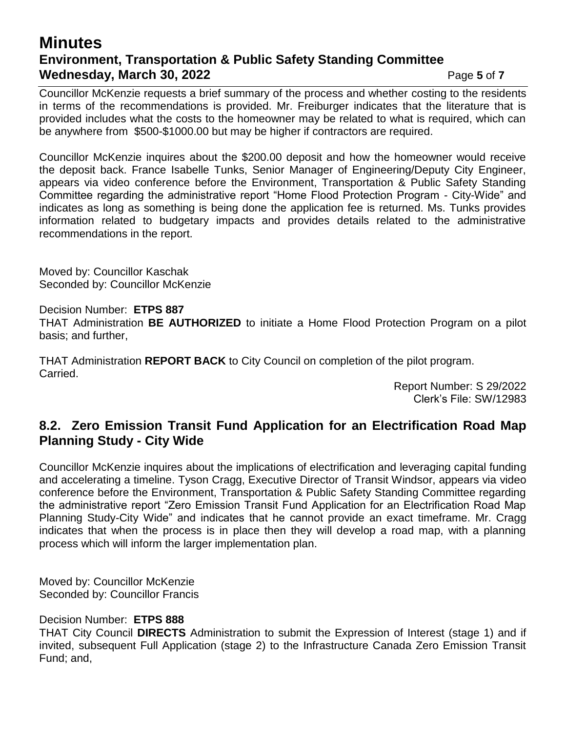### **Minutes Environment, Transportation & Public Safety Standing Committee Wednesday, March 30, 2022** Page 5 of 7

Councillor McKenzie requests a brief summary of the process and whether costing to the residents in terms of the recommendations is provided. Mr. Freiburger indicates that the literature that is provided includes what the costs to the homeowner may be related to what is required, which can be anywhere from \$500-\$1000.00 but may be higher if contractors are required.

Councillor McKenzie inquires about the \$200.00 deposit and how the homeowner would receive the deposit back. France Isabelle Tunks, Senior Manager of Engineering/Deputy City Engineer, appears via video conference before the Environment, Transportation & Public Safety Standing Committee regarding the administrative report "Home Flood Protection Program - City-Wide" and indicates as long as something is being done the application fee is returned. Ms. Tunks provides information related to budgetary impacts and provides details related to the administrative recommendations in the report.

Moved by: Councillor Kaschak Seconded by: Councillor McKenzie

Decision Number: **ETPS 887**

THAT Administration **BE AUTHORIZED** to initiate a Home Flood Protection Program on a pilot basis; and further,

THAT Administration **REPORT BACK** to City Council on completion of the pilot program. Carried.

> Report Number: S 29/2022 Clerk's File: SW/12983

### **8.2. Zero Emission Transit Fund Application for an Electrification Road Map Planning Study - City Wide**

Councillor McKenzie inquires about the implications of electrification and leveraging capital funding and accelerating a timeline. Tyson Cragg, Executive Director of Transit Windsor, appears via video conference before the Environment, Transportation & Public Safety Standing Committee regarding the administrative report "Zero Emission Transit Fund Application for an Electrification Road Map Planning Study-City Wide" and indicates that he cannot provide an exact timeframe. Mr. Cragg indicates that when the process is in place then they will develop a road map, with a planning process which will inform the larger implementation plan.

Moved by: Councillor McKenzie Seconded by: Councillor Francis

Decision Number: **ETPS 888**

THAT City Council **DIRECTS** Administration to submit the Expression of Interest (stage 1) and if invited, subsequent Full Application (stage 2) to the Infrastructure Canada Zero Emission Transit Fund; and,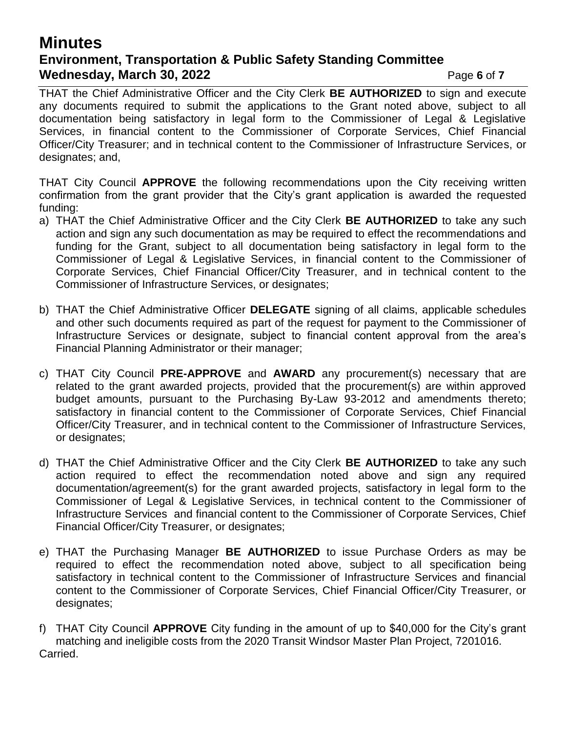## **Minutes Environment, Transportation & Public Safety Standing Committee Wednesday, March 30, 2022 Page 6** of 7

THAT the Chief Administrative Officer and the City Clerk **BE AUTHORIZED** to sign and execute any documents required to submit the applications to the Grant noted above, subject to all documentation being satisfactory in legal form to the Commissioner of Legal & Legislative Services, in financial content to the Commissioner of Corporate Services, Chief Financial Officer/City Treasurer; and in technical content to the Commissioner of Infrastructure Services, or designates; and,

THAT City Council **APPROVE** the following recommendations upon the City receiving written confirmation from the grant provider that the City's grant application is awarded the requested funding:

- a) THAT the Chief Administrative Officer and the City Clerk **BE AUTHORIZED** to take any such action and sign any such documentation as may be required to effect the recommendations and funding for the Grant, subject to all documentation being satisfactory in legal form to the Commissioner of Legal & Legislative Services, in financial content to the Commissioner of Corporate Services, Chief Financial Officer/City Treasurer, and in technical content to the Commissioner of Infrastructure Services, or designates;
- b) THAT the Chief Administrative Officer **DELEGATE** signing of all claims, applicable schedules and other such documents required as part of the request for payment to the Commissioner of Infrastructure Services or designate, subject to financial content approval from the area's Financial Planning Administrator or their manager;
- c) THAT City Council **PRE-APPROVE** and **AWARD** any procurement(s) necessary that are related to the grant awarded projects, provided that the procurement(s) are within approved budget amounts, pursuant to the Purchasing By-Law 93-2012 and amendments thereto; satisfactory in financial content to the Commissioner of Corporate Services, Chief Financial Officer/City Treasurer, and in technical content to the Commissioner of Infrastructure Services, or designates;
- d) THAT the Chief Administrative Officer and the City Clerk **BE AUTHORIZED** to take any such action required to effect the recommendation noted above and sign any required documentation/agreement(s) for the grant awarded projects, satisfactory in legal form to the Commissioner of Legal & Legislative Services, in technical content to the Commissioner of Infrastructure Services and financial content to the Commissioner of Corporate Services, Chief Financial Officer/City Treasurer, or designates;
- e) THAT the Purchasing Manager **BE AUTHORIZED** to issue Purchase Orders as may be required to effect the recommendation noted above, subject to all specification being satisfactory in technical content to the Commissioner of Infrastructure Services and financial content to the Commissioner of Corporate Services, Chief Financial Officer/City Treasurer, or designates;
- f) THAT City Council **APPROVE** City funding in the amount of up to \$40,000 for the City's grant matching and ineligible costs from the 2020 Transit Windsor Master Plan Project, 7201016. Carried.